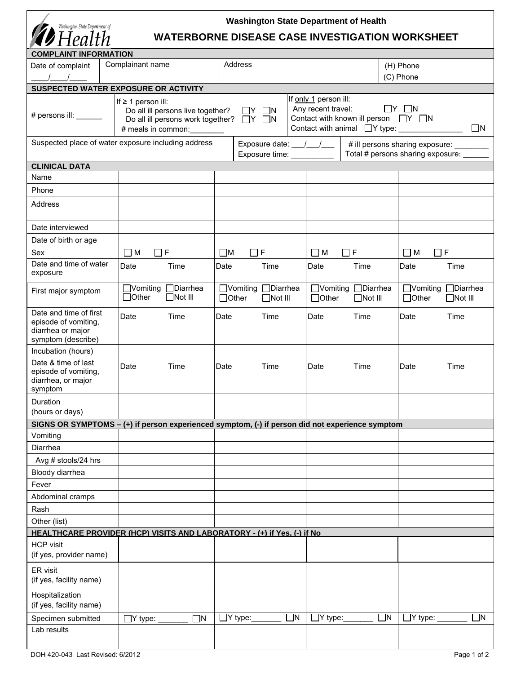| Washington State Department of<br>Health                                                  |                                                                                                                                  |                                                       | <b>Washington State Department of Health</b><br><b>WATERBORNE DISEASE CASE INVESTIGATION WORKSHEET</b>                                |                                                       |  |
|-------------------------------------------------------------------------------------------|----------------------------------------------------------------------------------------------------------------------------------|-------------------------------------------------------|---------------------------------------------------------------------------------------------------------------------------------------|-------------------------------------------------------|--|
| <b>COMPLAINT INFORMATION</b>                                                              |                                                                                                                                  |                                                       |                                                                                                                                       |                                                       |  |
| Date of complaint                                                                         | Complainant name                                                                                                                 | Address                                               |                                                                                                                                       | (H) Phone                                             |  |
|                                                                                           |                                                                                                                                  |                                                       |                                                                                                                                       | (C) Phone                                             |  |
|                                                                                           | SUSPECTED WATER EXPOSURE OR ACTIVITY                                                                                             |                                                       |                                                                                                                                       |                                                       |  |
| # persons ill: ______                                                                     | If $\geq 1$ person ill:<br>Do all ill persons live together?<br>Do all ill persons work together?<br># meals in common: ________ | $\Box Y$ $\Box N$<br>$\Box Y$ $\Box N$                | If only 1 person ill:<br>Any recent travel:<br>Contact with known ill person □ Y □ N<br>Contact with animal TY type: ________________ | $\Box Y$ $\Box N$<br>$\Box$ N                         |  |
|                                                                                           | Suspected place of water exposure including address                                                                              |                                                       | Exposure date: __/ __/ __   # ill persons sharing exposure: _______                                                                   | Total # persons sharing exposure: _____               |  |
| <b>CLINICAL DATA</b>                                                                      |                                                                                                                                  |                                                       |                                                                                                                                       |                                                       |  |
| Name                                                                                      |                                                                                                                                  |                                                       |                                                                                                                                       |                                                       |  |
| Phone                                                                                     |                                                                                                                                  |                                                       |                                                                                                                                       |                                                       |  |
| Address                                                                                   |                                                                                                                                  |                                                       |                                                                                                                                       |                                                       |  |
| Date interviewed                                                                          |                                                                                                                                  |                                                       |                                                                                                                                       |                                                       |  |
| Date of birth or age                                                                      |                                                                                                                                  |                                                       |                                                                                                                                       |                                                       |  |
| Sex                                                                                       | $\Box$ F<br>$\Box$ M                                                                                                             | $\Box$ F<br>$\square$ M                               | $\Box$ F<br>$\Box$ M                                                                                                                  | $\Box$ F<br>$\Box$ M                                  |  |
| Date and time of water<br>exposure                                                        | Date<br>Time                                                                                                                     | Date<br>Time                                          | Time<br>Date                                                                                                                          | Date<br>Time                                          |  |
| First major symptom                                                                       | $\Box$ Diarrhea<br>$\Box$ Vomiting<br>$\Box$ Other<br>$\Box$ Not III                                                             | □Vomiting □Diarrhea<br>$\Box$ Other<br>$\Box$ Not III | □Vomiting □Diarrhea<br>$\Box$ Other<br>$\Box$ Not III                                                                                 | □Vomiting □Diarrhea<br>$\Box$ Other<br>$\Box$ Not III |  |
| Date and time of first<br>episode of vomiting,<br>diarrhea or major<br>symptom (describe) | Date<br>Time                                                                                                                     | Date<br>Time                                          | Time<br>Date                                                                                                                          | Date<br>Time                                          |  |
| Incubation (hours)                                                                        |                                                                                                                                  |                                                       |                                                                                                                                       |                                                       |  |
| Date & time of last<br>episode of vomiting,<br>diarrhea, or major<br>symptom              | Date<br>Time                                                                                                                     | Date<br>Time                                          | Time<br>Date                                                                                                                          | Date<br>Time                                          |  |
| Duration<br>(hours or days)                                                               |                                                                                                                                  |                                                       |                                                                                                                                       |                                                       |  |
|                                                                                           | SIGNS OR SYMPTOMS $-$ (+) if person experienced symptom, (-) if person did not experience symptom                                |                                                       |                                                                                                                                       |                                                       |  |
| Vomiting                                                                                  |                                                                                                                                  |                                                       |                                                                                                                                       |                                                       |  |
| Diarrhea                                                                                  |                                                                                                                                  |                                                       |                                                                                                                                       |                                                       |  |
| Avg # stools/24 hrs                                                                       |                                                                                                                                  |                                                       |                                                                                                                                       |                                                       |  |
| Bloody diarrhea                                                                           |                                                                                                                                  |                                                       |                                                                                                                                       |                                                       |  |
| Fever                                                                                     |                                                                                                                                  |                                                       |                                                                                                                                       |                                                       |  |
| Abdominal cramps                                                                          |                                                                                                                                  |                                                       |                                                                                                                                       |                                                       |  |
| Rash                                                                                      |                                                                                                                                  |                                                       |                                                                                                                                       |                                                       |  |
| Other (list)                                                                              |                                                                                                                                  |                                                       |                                                                                                                                       |                                                       |  |
|                                                                                           | HEALTHCARE PROVIDER (HCP) VISITS AND LABORATORY - (+) if Yes, (-) if No                                                          |                                                       |                                                                                                                                       |                                                       |  |
| <b>HCP</b> visit<br>(if yes, provider name)                                               |                                                                                                                                  |                                                       |                                                                                                                                       |                                                       |  |
| ER visit<br>(if yes, facility name)                                                       |                                                                                                                                  |                                                       |                                                                                                                                       |                                                       |  |
| Hospitalization<br>(if yes, facility name)                                                |                                                                                                                                  |                                                       |                                                                                                                                       |                                                       |  |
| Specimen submitted                                                                        | $\square$ N<br>$\Box$ Y type:                                                                                                    | $\Box$ Y type:_<br>∃N                                 | $\Box$ N<br>$\exists$ Y type:_                                                                                                        | $\Box$ N<br>$\Box$ Y type:                            |  |
| Lab results                                                                               |                                                                                                                                  |                                                       |                                                                                                                                       |                                                       |  |